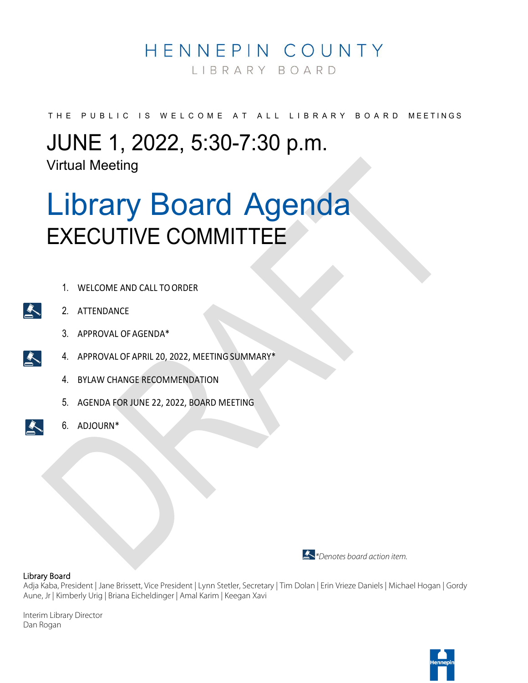### HENNEPIN COUNTY

LIBRARY BOARD

THE PUBLIC IS WELCOME AT ALL LIBRARY BOARD MEETINGS

## JUNE 1, 2022, 5:30-7:30 p.m.

Virtual Meeting

## Library Board Agenda EXECUTIVE COMMITTEE

- 1. WELCOME AND CALL TO ORDER
- 2. ATTENDANCE
	- 3. APPROVAL OFAGENDA\*
- 4. APPROVAL OF APRIL 20, 2022, MEETING SUMMARY\*
- 4. BYLAW CHANGE RECOMMENDATION
- 5. AGENDA FOR JUNE 22, 2022, BOARD MEETING
- 6. ADJOURN\*



#### Library Board

Adja Kaba, President | Jane Brissett, Vice President | Lynn Stetler, Secretary | Tim Dolan | Erin Vrieze Daniels | Michael Hogan | Gordy Aune, Jr | Kimberly Urig | Briana Eicheldinger | Amal Karim | Keegan Xavi

Interim Library Director Dan Rogan





 $\sum_{i=1}^{n}$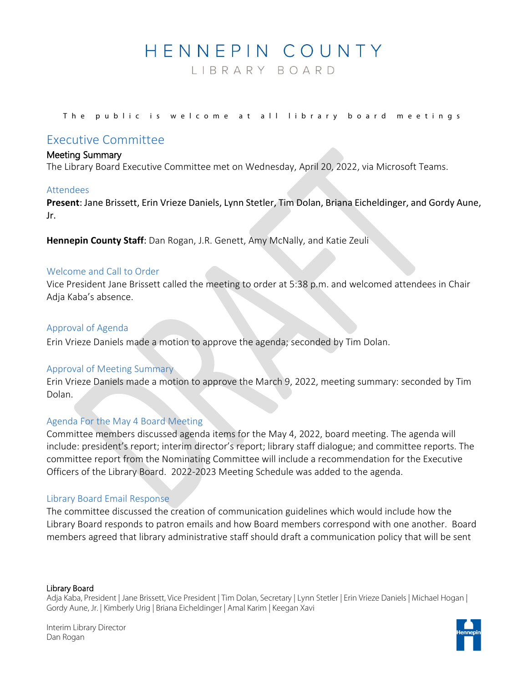### HENNEPIN COUNTY

LIBRARY BOARD

The public is welcome at all library board meetings

#### Executive Committee

#### Meeting Summary

The Library Board Executive Committee met on Wednesday, April 20, 2022, via Microsoft Teams.

#### Attendees

**Present**: Jane Brissett, Erin Vrieze Daniels, Lynn Stetler, Tim Dolan, Briana Eicheldinger, and Gordy Aune, Jr.

**Hennepin County Staff**: Dan Rogan, J.R. Genett, Amy McNally, and Katie Zeuli

#### Welcome and Call to Order

Vice President Jane Brissett called the meeting to order at 5:38 p.m. and welcomed attendees in Chair Adja Kaba's absence.

#### Approval of Agenda

Erin Vrieze Daniels made a motion to approve the agenda; seconded by Tim Dolan.

#### Approval of Meeting Summary

Erin Vrieze Daniels made a motion to approve the March 9, 2022, meeting summary: seconded by Tim Dolan.

#### Agenda For the May 4 Board Meeting

Committee members discussed agenda items for the May 4, 2022, board meeting. The agenda will include: president's report; interim director's report; library staff dialogue; and committee reports. The committee report from the Nominating Committee will include a recommendation for the Executive Officers of the Library Board. 2022-2023 Meeting Schedule was added to the agenda.

#### Library Board Email Response

The committee discussed the creation of communication guidelines which would include how the Library Board responds to patron emails and how Board members correspond with one another. Board members agreed that library administrative staff should draft a communication policy that will be sent

#### Library Board

Adja Kaba, President | Jane Brissett, Vice President | Tim Dolan, Secretary | Lynn Stetler | Erin Vrieze Daniels | Michael Hogan | Gordy Aune, Jr. | Kimberly Urig | Briana Eicheldinger | Amal Karim | Keegan Xavi

Interim Library Director Dan Rogan

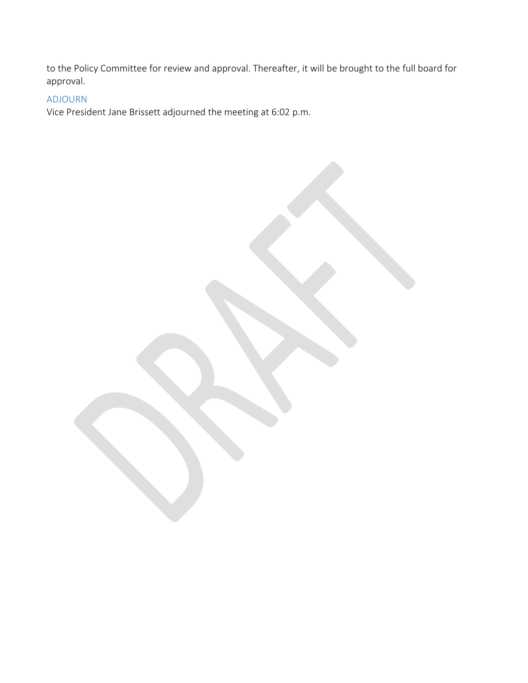to the Policy Committee for review and approval. Thereafter, it will be brought to the full board for approval.

#### ADJOURN

Vice President Jane Brissett adjourned the meeting at 6:02 p.m.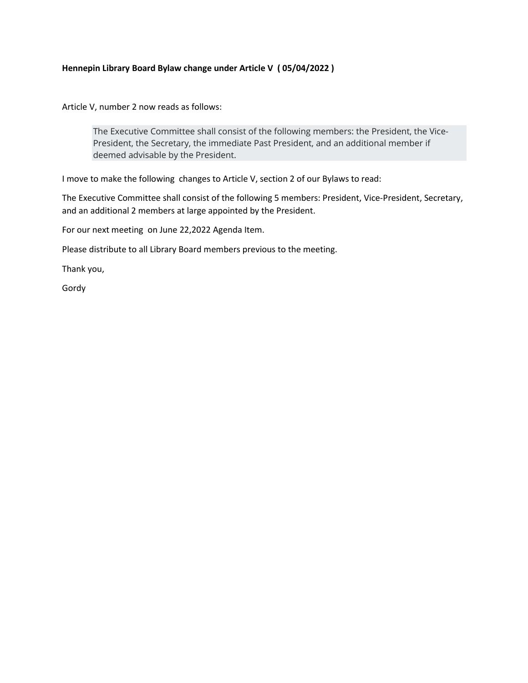#### **Hennepin Library Board Bylaw change under Article V ( 05/04/2022 )**

Article V, number 2 now reads as follows:

The Executive Committee shall consist of the following members: the President, the Vice-President, the Secretary, the immediate Past President, and an additional member if deemed advisable by the President.

I move to make the following changes to Article V, section 2 of our Bylaws to read:

The Executive Committee shall consist of the following 5 members: President, Vice-President, Secretary, and an additional 2 members at large appointed by the President.

For our next meeting on June 22,2022 Agenda Item.

Please distribute to all Library Board members previous to the meeting.

Thank you,

Gordy